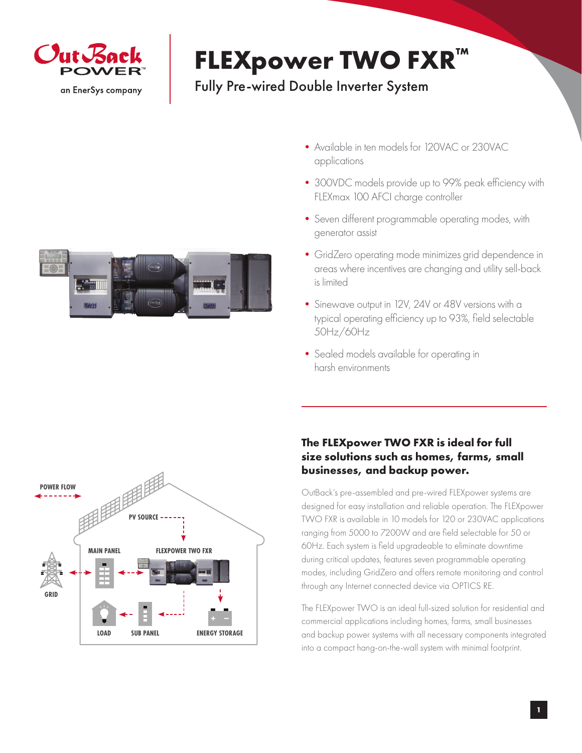

## **FLEXpower TWO FXR™**

## Fully Pre-wired Double Inverter System



- Available in ten models for 120VAC or 230VAC applications
- •300VDC models provide up to 99% peak efficiency with FLEXmax 100 AFCI charge controller
- •Seven different programmable operating modes, with generator assist
- •GridZero operating mode minimizes grid dependence in areas where incentives are changing and utility sell-back is limited
- Sinewave output in 12V, 24V or 48V versions with a typical operating efficiency up to 93%, field selectable 50Hz/60Hz
- Sealed models available for operating in harsh environments



## **The FLEXpower TWO FXR is ideal for full size solutions such as homes, farms, small businesses, and backup power.**

OutBack's pre-assembled and pre-wired FLEXpower systems are designed for easy installation and reliable operation. The FLEXpower TWO FXR is available in 10 models for 120 or 230VAC applications ranging from 5000 to 7200W and are field selectable for 50 or 60Hz. Each system is field upgradeable to eliminate downtime during critical updates, features seven programmable operating modes, including GridZero and offers remote monitoring and control through any Internet connected device via OPTICS RE.

The FLEXpower TWO is an ideal full-sized solution for residential and commercial applications including homes, farms, small businesses and backup power systems with all necessary components integrated into a compact hang-on-the-wall system with minimal footprint.